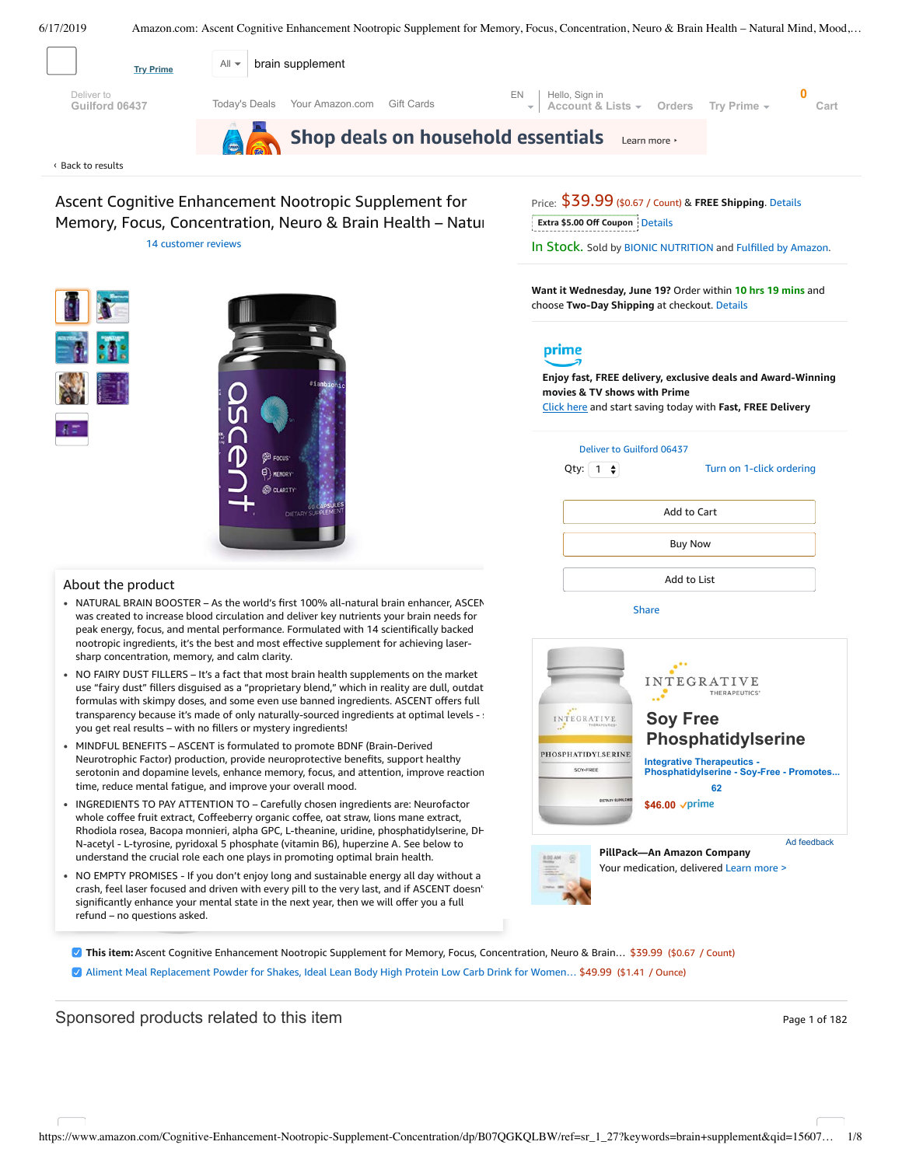<span id="page-0-0"></span>

Ascent Cognitive Enhancement Nootropic Supplement for Memory, Focus, Concentration, Neuro & Brain Health – Natur 14 [customer](#page-3-0) reviews



#### About the product

- NATURAL BRAIN BOOSTER As the world's first 100% all-natural brain enhancer, ASCEN was created to increase blood circulation and deliver key nutrients your brain needs for peak energy, focus, and mental performance. Formulated with 14 scientifically backed nootropic ingredients, it's the best and most effective supplement for achieving lasersharp concentration, memory, and calm clarity.
- NO FAIRY DUST FILLERS It's a fact that most brain health supplements on the market use "fairy dust" fillers disguised as a "proprietary blend," which in reality are dull, outdat formulas with skimpy doses, and some even use banned ingredients. ASCENT offers full transparency because it's made of only naturally-sourced ingredients at optimal levels - : you get real results – with no fillers or mystery ingredients!
- MINDFUL BENEFITS ASCENT is formulated to promote BDNF [\(Brain-Derived](https://www.amazon.com/gp/redirect.html/ref=amb_link_1?_encoding=UTF8&location=https%3A%2F%2Fwww.amazon.com%2Fstores%2Fpage%2F5C6C0A16-CE60-4998-B799-A746AE18E19B%3Fchannel%3Dproduct_alert_v1&source=standards&token=725A568E064D46CFD215073B2EAF8C86121FB501&pf_rd_m=ATVPDKIKX0DER&pf_rd_s=product-alert&pf_rd_r=MY5JCK2V2NT4VYYP32Q0&pf_rd_r=MY5JCK2V2NT4VYYP32Q0&pf_rd_t=201&pf_rd_p=5ccb7e8b-1cdb-4056-8a8c-bdea3462f1a9&pf_rd_p=5ccb7e8b-1cdb-4056-8a8c-bdea3462f1a9&pf_rd_i=B07QGKQLBW) Neurotrophic Factor) production, provide neuroprotective benefits, support healthy serotonin and dopamine levels, enhance memory, focus, and attention, improve reaction time, reduce mental fatigue, and improve your overall mood.
- whole coffee fruit extract, Coffeeberry organic coffee, oat straw, lions mane extract, N-acetyl - L-tyrosine, pyridoxal 5 phosphate (vitamin B6), huperzine A. See below to INGREDIENTS TO PAY ATTENTION TO – Carefully chosen ingredients are: Neurofactor Rhodiola rosea, Bacopa monnieri, alpha GPC, L-theanine, uridine, phosphatidylserine, DH understand the crucial role each one plays in promoting optimal brain health.
- + Add both to List crash, feel laser [focused](https://www.amazon.com/Aliment-Replacement-Protein-Premium-Superfood/dp/B07QFFVFJM/ref=pd_bxgy_121_img_2/143-6729050-3493109?_encoding=UTF8&pd_rd_i=B07QFFVFJM&pd_rd_r=9f7a7c5b-9126-11e9-b951-abb38a2762a2&pd_rd_w=VPwEo&pd_rd_wg=6ZR4z&pf_rd_p=a2006322-0bc0-4db9-a08e-d168c18ce6f0&pf_rd_r=MY5JCK2V2NT4VYYP32Q0&psc=1&refRID=MY5JCK2V2NT4VYYP32Q0) and driven with every pill to the very last, and if ASCENT doesn't NO EMPTY PROMISES - If you don't enjoy long and sustainable energy all day without a significantly enhance your mental state in the next year, then we will offer you a full refund – no questions asked.

Price: \$39.99 (\$0.67 / Count) & **FREE Shipping**. [Details](https://www.amazon.com/gp/help/customer/display.html/ref=mk_sss_dp_1/?ie=UTF8&pop-up=1&nodeId=527692) **Extra \$5.00 Off Coupon** Details

In Stock. Sold by BIONIC [NUTRITION](https://www.amazon.com/gp/help/seller/at-a-glance.html/ref=dp_merchant_link?ie=UTF8&seller=A27XI6RCEYW4CJ&isAmazonFulfilled=1) and Fulfilled by [Amazon.](https://www.amazon.com/gp/help/customer/display.html?ie=UTF8&ref=dp_fulfillment&nodeId=106096011)

**Want it Wednesday, June 19?** Order within **10 hrs 19 mins** and choose **Two-Day Shipping** at checkout. [Details](https://www.amazon.com/gp/help/customer/display.html/ref=ftinfo_dp_?ie=UTF8&nodeId=3510241&pop-up=1)

# prime

**Enjoy fast, FREE delivery, exclusive deals and Award-Winning movies & TV shows with Prime** Click here and start saving today with **Fast, FREE Delivery**

| Deliver to Guilford 06437                   |                          |  |
|---------------------------------------------|--------------------------|--|
| Qty: $\begin{bmatrix} 1 \\ 2 \end{bmatrix}$ | Turn on 1-click ordering |  |
|                                             |                          |  |
|                                             | Add to Cart              |  |
|                                             | <b>Buy Now</b>           |  |
|                                             | Add to List              |  |
| Share                                       |                          |  |



**This item:**Ascent Cognitive Enhancement Nootropic Supplement for Memory, Focus, Concentration, Neuro & Brain… \$39.99 (\$0.67 / Count)

Aliment Meal [Replacement](https://www.amazon.com/Aliment-Replacement-Protein-Premium-Superfood/dp/B07QFFVFJM/ref=pd_bxgy_121_2/143-6729050-3493109?_encoding=UTF8&pd_rd_i=B07QFFVFJM&pd_rd_r=9f7a7c5b-9126-11e9-b951-abb38a2762a2&pd_rd_w=VPwEo&pd_rd_wg=6ZR4z&pf_rd_p=a2006322-0bc0-4db9-a08e-d168c18ce6f0&pf_rd_r=MY5JCK2V2NT4VYYP32Q0&psc=1&refRID=MY5JCK2V2NT4VYYP32Q0) Powder for Shakes, Ideal Lean Body High Protein Low Carb Drink for Women… \$49.99 (\$1.41 / Ounce)

### Sponsored products related to this item Page 1 of 182 Sponsored Page 1 of 182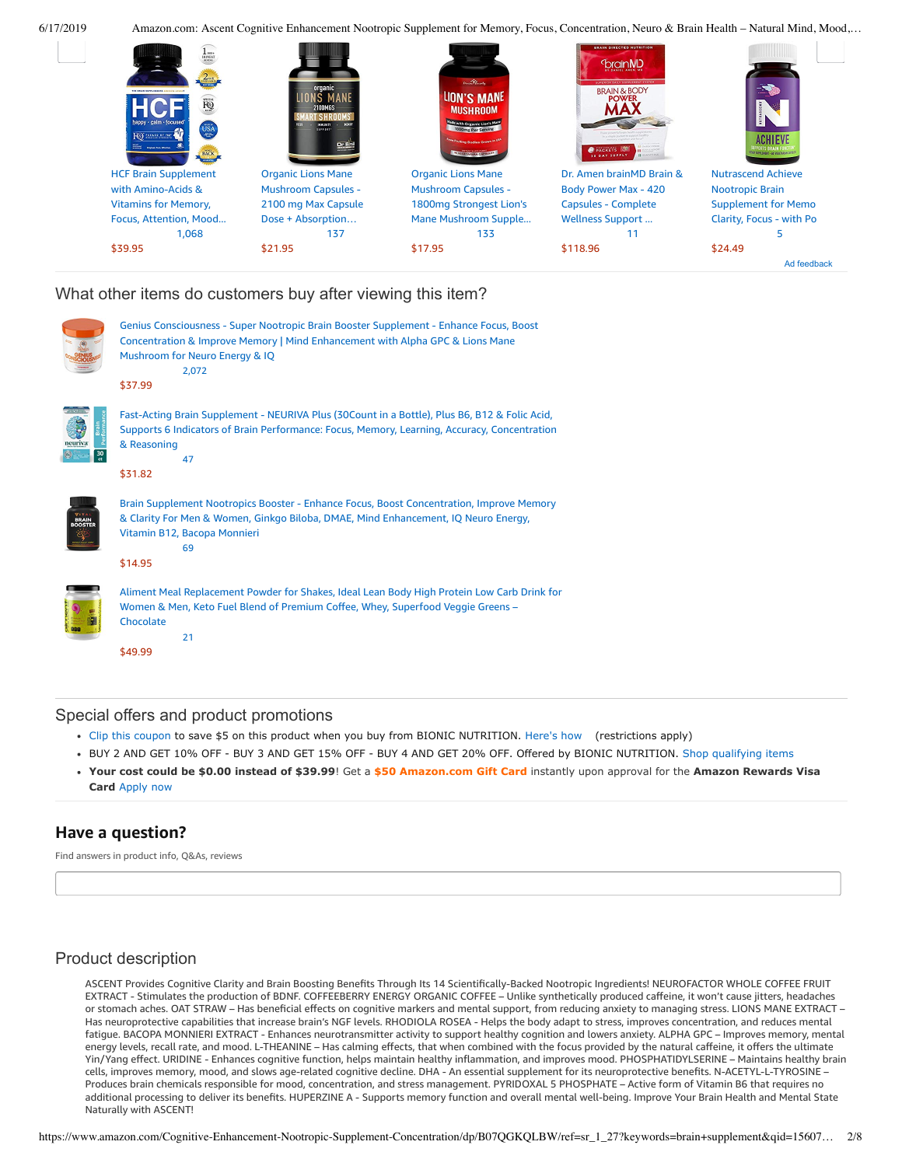

## What other items do customers buy after viewing this item?

|                                 | Genius Consciousness - Super Nootropic Brain Booster Supplement - Enhance Focus, Boost<br>Concentration & Improve Memory   Mind Enhancement with Alpha GPC & Lions Mane<br>Mushroom for Neuro Energy & IQ<br>2,072<br>\$37.99   |
|---------------------------------|---------------------------------------------------------------------------------------------------------------------------------------------------------------------------------------------------------------------------------|
| euriva<br>$rac{30}{\epsilon t}$ | Fast-Acting Brain Supplement - NEURIVA Plus (30Count in a Bottle), Plus B6, B12 & Folic Acid,<br>Supports 6 Indicators of Brain Performance: Focus, Memory, Learning, Accuracy, Concentration<br>& Reasoning<br>47<br>\$31.82   |
|                                 | Brain Supplement Nootropics Booster - Enhance Focus, Boost Concentration, Improve Memory<br>& Clarity For Men & Women, Ginkgo Biloba, DMAE, Mind Enhancement, IQ Neuro Energy,<br>Vitamin B12, Bacopa Monnieri<br>69<br>\$14.95 |
|                                 | Aliment Meal Replacement Powder for Shakes, Ideal Lean Body High Protein Low Carb Drink for<br>Women & Men, Keto Fuel Blend of Premium Coffee, Whey, Superfood Veggie Greens -<br>Chocolate<br>21<br>\$49.99                    |

## Special offers and product promotions

- [Clip this coupon](https://www.amazon.com/gp/coupon/c/AZGYZE88OK98) to save \$5 on this product when you buy from BIONIC NUTRITION. [Here's how](javascript:void(0)) (restrictions apply)
- BUY 2 AND GET 10% OFF BUY 3 AND GET 15% OFF BUY 4 AND GET 20% OFF. Offered by BIONIC NUTRITION. [Shop qualifying items](https://www.amazon.com/gp/promotion/A3FF49HBCNUE8L?ref_=sopp_psp_A3FF49HBCNUE8L)
- **[Your cost could be \\$0.00 instead of \\$39.99](https://www.amazon.com/gp/cobrandcard/marketing.html?pr=con321&inc=50gcUnrec&ts=1z56m6v2c6d0kdldptlf0n3d672vyh&dasin=B07QGKQLBW&plattr=math&place=detailpage&imp=65d19bc2-59eb-4a8f-b094-e95a588e0b9e)**! Get a **\$50 Amazon.com Gift Card** instantly upon approval for the **Amazon Rewards Visa Card** Apply now

## **Have a question?**

Find answers in product info, Q&As, reviews

## Product description

ASCENT Provides Cognitive Clarity and Brain Boosting Benefits Through Its 14 Scientifically-Backed Nootropic Ingredients! NEUROFACTOR WHOLE COFFEE FRUIT EXTRACT - Stimulates the production of BDNF. COFFEEBERRY ENERGY ORGANIC COFFEE – Unlike synthetically produced caffeine, it won't cause jitters, headaches or stomach aches. OAT STRAW – Has beneficial effects on cognitive markers and mental support, from reducing anxiety to managing stress. LIONS MANE EXTRACT – Has neuroprotective capabilities that increase brain's NGF levels. RHODIOLA ROSEA - Helps the body adapt to stress, improves concentration, and reduces mental fatigue. BACOPA MONNIERI EXTRACT - Enhances neurotransmitter activity to support healthy cognition and lowers anxiety. ALPHA GPC – Improves memory, mental energy levels, recall rate, and mood. L-THEANINE – Has calming effects, that when combined with the focus provided by the natural caffeine, it offers the ultimate Yin/Yang effect. URIDINE - Enhances cognitive function, helps maintain healthy inflammation, and improves mood. PHOSPHATIDYLSERINE – Maintains healthy brain cells, improves memory, mood, and slows age-related cognitive decline. DHA - An essential supplement for its neuroprotective benefits. N-ACETYL-L-TYROSINE – Produces brain chemicals responsible for mood, concentration, and stress management. PYRIDOXAL 5 PHOSPHATE – Active form of Vitamin B6 that requires no additional processing to deliver its benefits. HUPERZINE A - Supports memory function and overall mental well-being. Improve Your Brain Health and Mental State Naturally with ASCENT!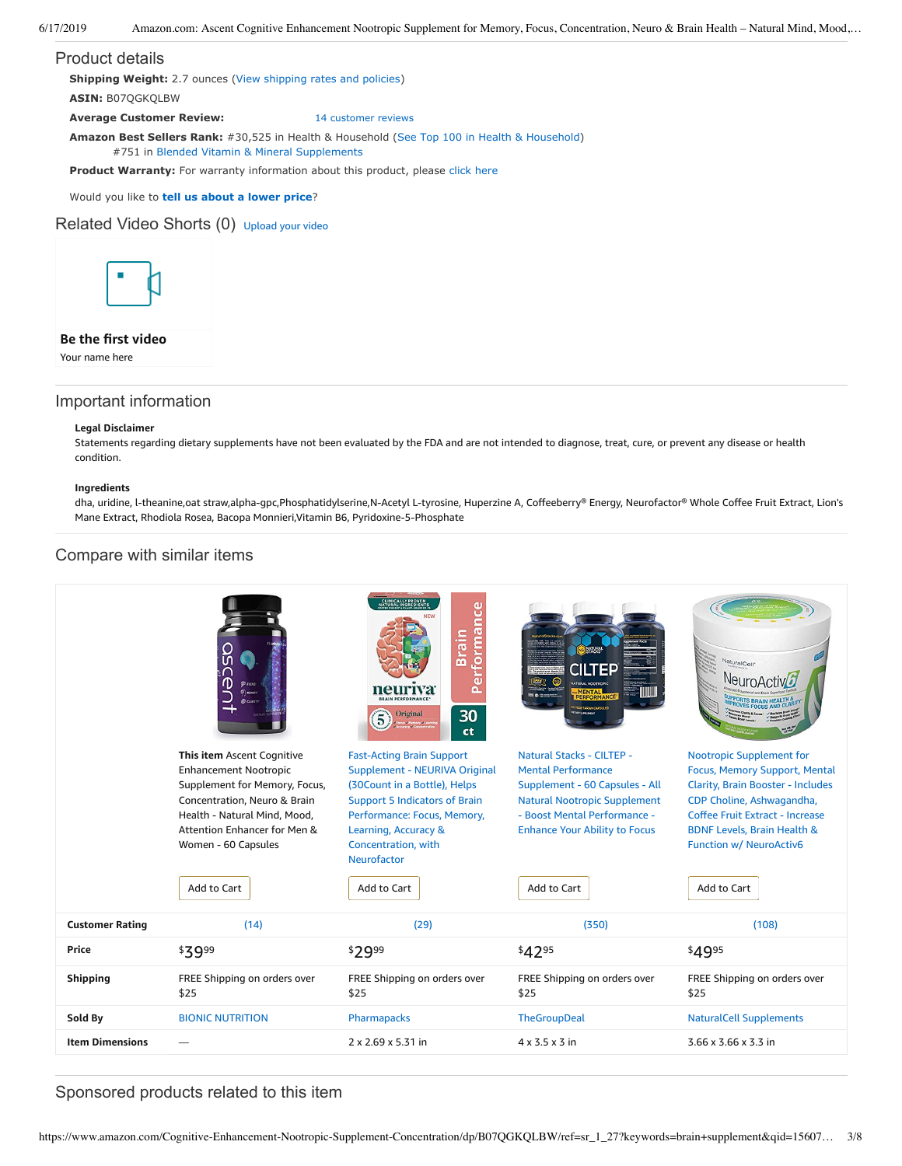#### Product details

**Shipping Weight:** 2.7 ounces [\(View shipping rates and policies\)](https://www.amazon.com/gp/help/seller/shipping.html/ref=dp_pd_shipping?ie=UTF8&asin=B07QGKQLBW&seller=ATVPDKIKX0DER)

**ASIN:** B07QGKQLBW

**Average Customer Review:** [14 customer reviews](https://www.amazon.com/product-reviews/B07QGKQLBW/ref=acr_dpproductdetail_text?ie=UTF8&showViewpoints=1)

**Amazon Best Sellers Rank:** #30,525 in Health & Household ([See Top 100 in Health & Household\)](https://www.amazon.com/gp/bestsellers/hpc/ref=pd_zg_ts_hpc)

#751 in [Blended Vitamin & Mineral Supplements](https://www.amazon.com/gp/bestsellers/hpc/3773931/ref=pd_zg_hrsr_hpc)

**Product Warranty:** For warranty information about this product, please [click here](https://www.amazon.com/gp/feature.html/ref=dp_warranty_request_3P?ie=UTF8&docId=1002406021)

Would you like to **tell us about a lower price**?

### Related Video Shorts (0) [Upload](https://www.amazon.com/creatorhub/video/upload?productASIN=B07QGKQLBW&referringURL=ZHAvQjA3UUdLUUxCVw%3D%3D&ref=RVSW) your video



### **Be the first video**

Your name here

### Important information

#### **Legal Disclaimer**

Statements regarding dietary supplements have not been evaluated by the FDA and are not intended to diagnose, treat, cure, or prevent any disease or health condition.

#### **Ingredients**

dha, uridine, l-theanine,oat straw,alpha-gpc,Phosphatidylserine,N-Acetyl L-tyrosine, Huperzine A, Coffeeberry® Energy, Neurofactor® Whole Coffee Fruit Extract, Lion's Mane Extract, Rhodiola Rosea, Bacopa Monnieri,Vitamin B6, Pyridoxine-5-Phosphate

## Compare with similar items

|                        | <b>C</b> FOCUS<br>$\Theta$ <i>MEMORY</i><br><b>Daw</b><br>This item Ascent Cognitive<br><b>Enhancement Nootropic</b><br>Supplement for Memory, Focus, | CLINICALLY PROVEN<br>ATURAL INGREDIENT<br>formance<br><b>Brain</b><br>$\overline{a}$<br>$\bullet$<br>neurwa<br>30<br><b>Original</b><br>ct<br><b>Fast-Acting Brain Support</b><br>Supplement - NEURIVA Original<br>(30 Count in a Bottle), Helps | ad se<br>Natural Stacks - CILTEP -<br><b>Mental Performance</b><br>Supplement - 60 Capsules - All           | VaturalCell*<br>NeuroA<br><b>Nootropic Supplement for</b><br>Focus, Memory Support, Mental<br><b>Clarity, Brain Booster - Includes</b>   |
|------------------------|-------------------------------------------------------------------------------------------------------------------------------------------------------|--------------------------------------------------------------------------------------------------------------------------------------------------------------------------------------------------------------------------------------------------|-------------------------------------------------------------------------------------------------------------|------------------------------------------------------------------------------------------------------------------------------------------|
|                        | Concentration, Neuro & Brain<br>Health - Natural Mind, Mood,<br>Attention Enhancer for Men &<br>Women - 60 Capsules                                   | <b>Support 5 Indicators of Brain</b><br>Performance: Focus, Memory,<br>Learning, Accuracy &<br>Concentration, with<br>Neurofactor                                                                                                                | <b>Natural Nootropic Supplement</b><br>- Boost Mental Performance -<br><b>Enhance Your Ability to Focus</b> | CDP Choline, Ashwagandha,<br>Coffee Fruit Extract - Increase<br><b>BDNF Levels, Brain Health &amp;</b><br><b>Function w/ NeuroActiv6</b> |
|                        | Add to Cart                                                                                                                                           | Add to Cart                                                                                                                                                                                                                                      | Add to Cart                                                                                                 | Add to Cart                                                                                                                              |
| <b>Customer Rating</b> | (14)                                                                                                                                                  | (29)                                                                                                                                                                                                                                             | (350)                                                                                                       | (108)                                                                                                                                    |
| <b>Price</b>           | \$3999                                                                                                                                                | \$2999                                                                                                                                                                                                                                           | \$4295                                                                                                      | \$4995                                                                                                                                   |
| <b>Shipping</b>        | FREE Shipping on orders over<br>\$25                                                                                                                  | FREE Shipping on orders over<br>\$25                                                                                                                                                                                                             | FREE Shipping on orders over<br>\$25                                                                        | FREE Shipping on orders over<br>\$25                                                                                                     |
| Sold By                | <b>BIONIC NUTRITION</b>                                                                                                                               | Pharmapacks                                                                                                                                                                                                                                      | <b>TheGroupDeal</b>                                                                                         | <b>NaturalCell Supplements</b>                                                                                                           |
| <b>Item Dimensions</b> |                                                                                                                                                       | 2 x 2.69 x 5.31 in                                                                                                                                                                                                                               | $4 \times 3.5 \times 3$ in                                                                                  | 3.66 x 3.66 x 3.3 in                                                                                                                     |

Sponsored products related to this item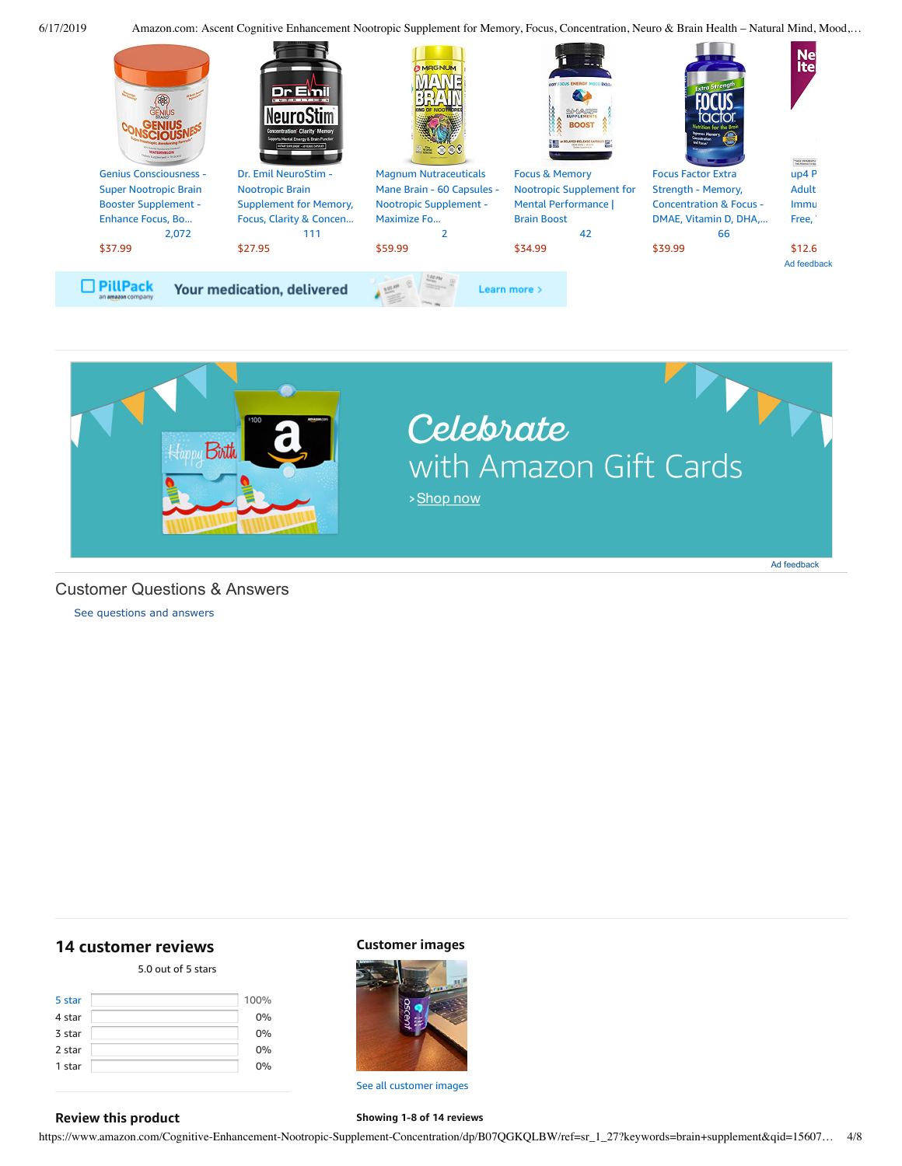



### Customer Questions & Answers

[See questions and answers](https://www.amazon.com/ask/questions/asin/B07QGKQLBW/ref=cm_cd_dp_lla_ql_ll)

## <span id="page-3-0"></span>**[14 customer](https://www.amazon.com/Cognitive-Enhancement-Nootropic-Supplement-Concentration/product-reviews/B07QGKQLBW/ref=cm_cr_dp_d_show_all_top?ie=UTF8&reviewerType=all_reviews) reviews**

#### 5.0 out of 5 [stars](javascript:void(0))

| 5 star<br>4 star | 100%<br>0% |
|------------------|------------|
| 3 star           | 0%         |
| 2 star           | 0%         |
| 1 star           | 0%         |

#### **Customer images**



See all customer images

**Showing 1-8 of 14 reviews**

#### **Review this product**

https://www.amazon.com/Cognitive-Enhancement-Nootropic-Supplement-Concentration/dp/B07QGKQLBW/ref=sr\_1\_27?keywords=brain+supplement&qid=15607… 4/8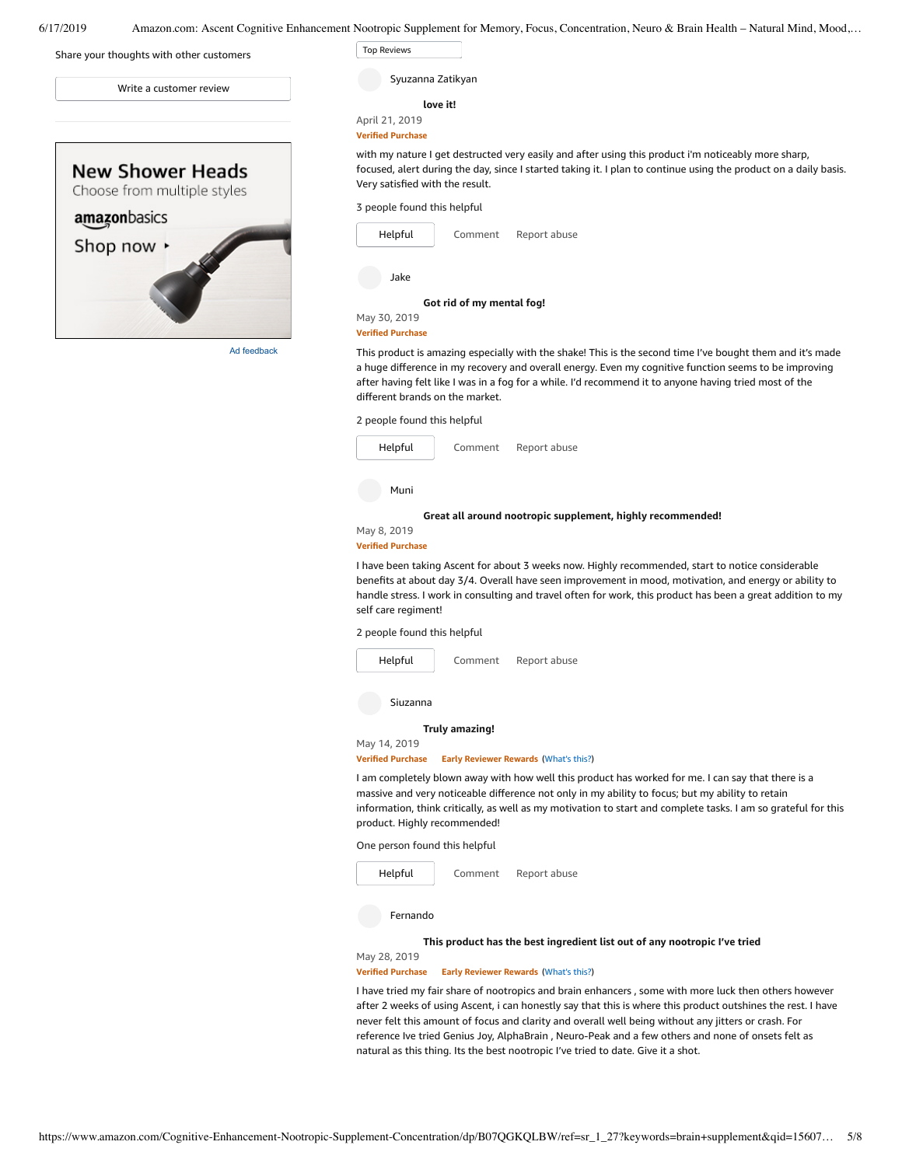

Ad feedback

**[love](https://www.amazon.com/gp/customer-reviews/R2MXEF82J96A09/ref=cm_cr_dp_d_rvw_ttl?ie=UTF8&ASIN=B07QGKQLBW) it!** Syuzanna Zatikyan

#### April 21, 2019 **Verified Purchase**

Top Reviews Top Reviews

with my nature I get destructed very easily and after using this product i'm noticeably more sharp, focused, alert during the day, since I started taking it. I plan to continue using the product on a daily basis. Very satisfied with the result.

#### 3 people found this helpful

| Helpful                  | Comment                   | Report abuse |
|--------------------------|---------------------------|--------------|
| Jake                     |                           |              |
|                          | Got rid of my mental fog! |              |
| May 30, 2019             |                           |              |
| <b>Verified Purchase</b> |                           |              |

This product is amazing especially with the shake! This is the second time I've bought them and it's made a huge difference in my recovery and overall energy. Even my cognitive function seems to be improving after having felt like I was in a fog for a while. I'd recommend it to anyone having tried most of the different brands on the market.

2 people found this helpful



#### **Verified Purchase**

I have been taking Ascent for about 3 weeks now. Highly recommended, start to notice considerable benefits at about day 3/4. Overall have seen improvement in mood, motivation, and energy or ability to handle stress. I work in consulting and travel often for work, this product has been a great addition to my self care regiment!

2 people found this helpful



I am completely blown away with how well this product has worked for me. I can say that there is a massive and very noticeable difference not only in my ability to focus; but my ability to retain information, think critically, as well as my motivation to start and complete tasks. I am so grateful for this product. Highly recommended!

One person found this helpful



Fernando

#### **This product has the best [ingredient](https://www.amazon.com/gp/customer-reviews/R32XWPCPPXZ0MX/ref=cm_cr_dp_d_rvw_ttl?ie=UTF8&ASIN=B07QGKQLBW) list out of any nootropic I've tried**

May 28, 2019 **Verified Purchase Early Reviewer Rewards** ([What's](https://www.amazon.com/earlyreviewerprogram?ie=UTF8) this?)

I have tried my fair share of nootropics and brain enhancers , some with more luck then others however after 2 weeks of using Ascent, i can honestly say that this is where this product outshines the rest. I have never felt this amount of focus and clarity and overall well being without any jitters or crash. For reference Ive tried Genius Joy, AlphaBrain , Neuro-Peak and a few others and none of onsets felt as natural as this thing. Its the best nootropic I've tried to date. Give it a shot.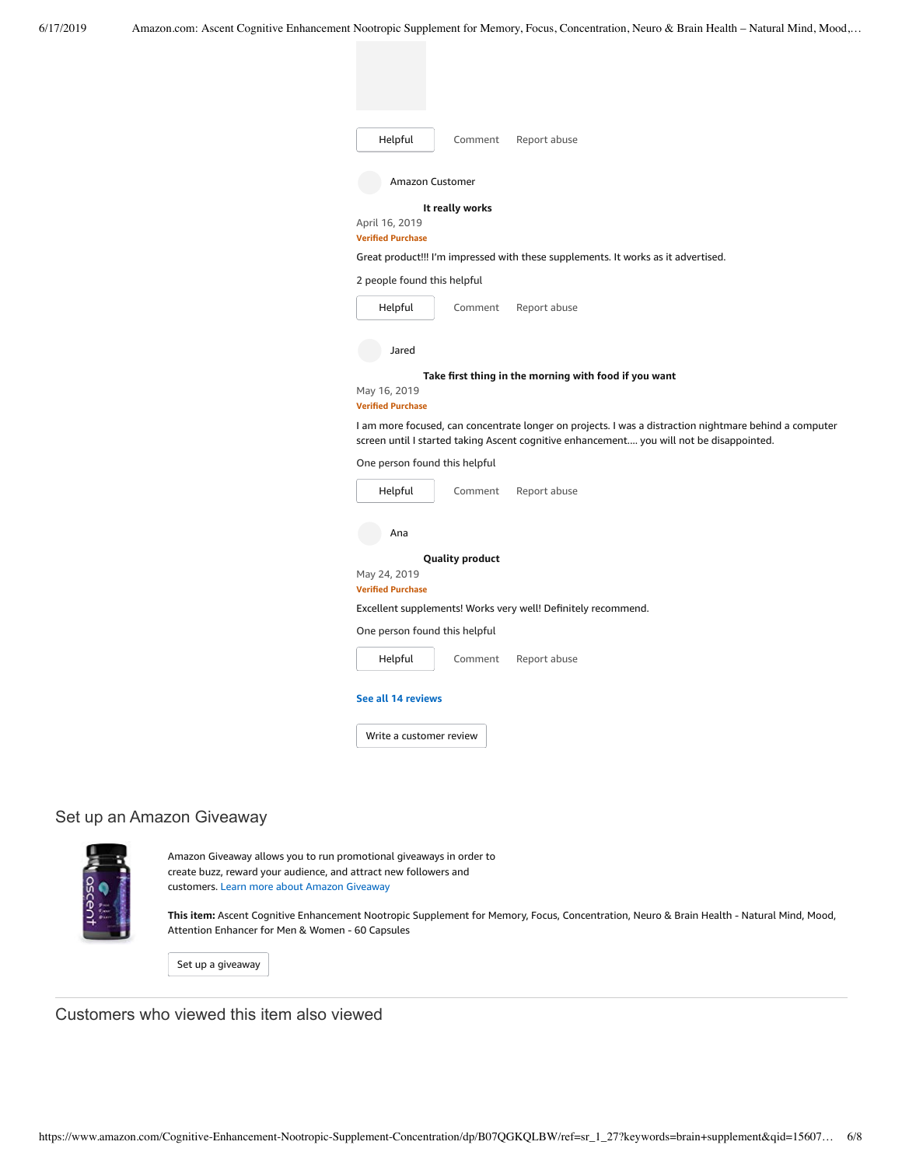| Helpful<br>Report abuse<br>Comment                                                                                                                                                                 |
|----------------------------------------------------------------------------------------------------------------------------------------------------------------------------------------------------|
| Amazon Customer                                                                                                                                                                                    |
| It really works                                                                                                                                                                                    |
| April 16, 2019<br><b>Verified Purchase</b>                                                                                                                                                         |
| Great product!!! I'm impressed with these supplements. It works as it advertised.                                                                                                                  |
| 2 people found this helpful                                                                                                                                                                        |
| Helpful<br>Comment<br>Report abuse                                                                                                                                                                 |
| Jared                                                                                                                                                                                              |
| Take first thing in the morning with food if you want                                                                                                                                              |
| May 16, 2019<br><b>Verified Purchase</b>                                                                                                                                                           |
| I am more focused, can concentrate longer on projects. I was a distraction nightmare behind a computer<br>screen until I started taking Ascent cognitive enhancement you will not be disappointed. |
| One person found this helpful                                                                                                                                                                      |
| Helpful<br>Comment<br>Report abuse                                                                                                                                                                 |
| Ana                                                                                                                                                                                                |
| <b>Quality product</b>                                                                                                                                                                             |
| May 24, 2019<br><b>Verified Purchase</b>                                                                                                                                                           |
| Excellent supplements! Works very well! Definitely recommend.                                                                                                                                      |
| One person found this helpful                                                                                                                                                                      |
| Helpful<br>Report abuse<br>Comment                                                                                                                                                                 |
| See all 14 reviews                                                                                                                                                                                 |
| Write a customer review                                                                                                                                                                            |

## Set up an Amazon Giveaway



Amazon Giveaway allows you to run promotional giveaways in order to create buzz, reward your audience, and attract new followers and customers. Learn more about Amazon [Giveaway](https://www.amazon.com/gp/giveaway/home?ref=aga_dp_lm)

**This item:** Ascent Cognitive Enhancement Nootropic Supplement for Memory, Focus, Concentration, Neuro & Brain Health - Natural Mind, Mood, Attention Enhancer for Men & Women - 60 Capsules

Set up a [giveaway](https://www.amazon.com/giveaway/host/setup/ref=aga_h_su_dp?_encoding=UTF8&asin=B07QGKQLBW)

Customers who viewed this item also viewed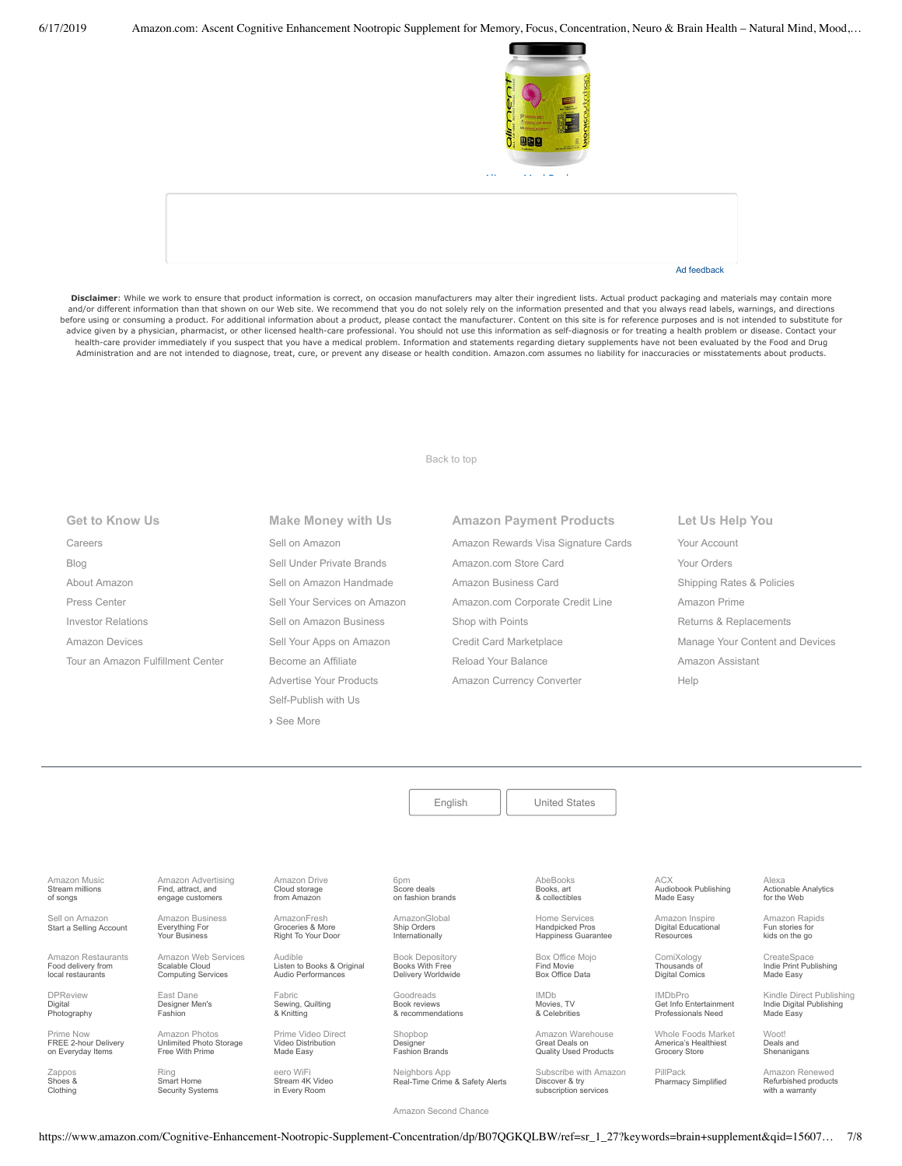

Ad feedback

Disclaimer: While we work to ensure that product information is correct, on occasion manufacturers may alter their ingredient lists. Actual product packaging and materials may contain more and/or different information than that shown on our Web site. We recommend that you do not solely rely on the information presented and that you always read labels, warnings, and directions before using or consuming a product. For additional information about a product, please contact the manufacturer. Content on this site is for reference purposes and is not intended to substitute for advice given by a physician, pharmacist, or other licensed health-care professional. You should not use this information as self-diagnosis or for treating a health problem or disease. Contact your health-care provider immediately if you suspect that you have a medical problem. Information and statements regarding dietary supplements have not been evaluated by the Food and Drug Administration and are not intended to diagnose, treat, cure, or prevent any disease or health condition. Amazon.com assumes no liability for inaccuracies or misstatements about products.

[Back to top](#page-0-0)

| <b>Get to Know Us</b>             |
|-----------------------------------|
| Careers                           |
| Blog                              |
| About Amazon                      |
| Press Center                      |
| Investor Relations                |
| Amazon Devices                    |
| Tour an Amazon Fulfillment Center |
|                                   |

**Make Money with Us** [Sell on Amazon](https://www.amazon.com/gp/redirect.html?_encoding=UTF8&location=https%3A%2F%2Fservices.amazon.com%2Fcontent%2Fsell-on-amazon.htm%2Fref%3Dfooter_soa%3Fld%3DAZFSSOA%26ref_%3Dfooter_soa&source=standards&token=1CC2E60AAEEFD9613C04037E8F5AFD0F4D90DC5B) [Sell Under Private Brands](https://www.amazon.com/l/ref=map_1_b2b_GW_FT?node=17882322011) [Sell on Amazon Handmade](https://www.amazon.com/gp/redirect.html?_encoding=UTF8&location=https%3A%2F%2Fservices.amazon.com%2Fhandmade%2Fhandmade.html%3Fld%3DAZUSHNDFooter%26ref_%3Dfooter_soa&source=standards&token=3B063664DF1F3D449986FD6D04FA7404D76C339B) [Sell Your Services on Amazon](https://www.amazon.com/gp/redirect.html?_encoding=UTF8&location=https%3A%2F%2Fservices.amazon.com%2Fselling-services%2Fbenefits.htm%3Fld%3DAZUSVAS-globalfooter%26ref_%3Dfooter_sell_svcs&source=standards&token=E93858F0E946F93FEAC7F36EFB8E10F5C54CDBFC) [Sell on Amazon Business](https://services.amazon.com/amazon-business.html?ld=usb2bunifooter) [Sell Your Apps on Amazon](https://developer.amazon.com/) [Become an Affiliate](https://affiliate-program.amazon.com/) [Advertise Your Products](https://advertising.amazon.com/?ref=ext_amzn_ftr) Self-Publish with Us **›** [See More](https://www.amazon.com/b/?_encoding=UTF8&ld=AZUSSOA-seemore&node=18190131011&ref_=footer_seemore)

**Amazon Payment Products** [Amazon Rewards Visa Signature Cards](https://www.amazon.com/iss/credit/rewardscardmember?_encoding=UTF8&plattr=CBFOOT&ref_=footer_cbcc) [Amazon.com Store Card](https://www.amazon.com/iss/credit/storecardmember?_encoding=UTF8&plattr=PLCCFOOT&ref_=footer_plcc) [Amazon Business Card](https://www.amazon.com/dp/B07984JN3L?_encoding=UTF8&ie=UTF-8&plattr=ACOMFO) [Amazon.com Corporate Credit Line](https://www.amazon.com/dp/B07CBJQS16?_encoding=UTF8&ie=UTF-8&place=camp&plattr=CCLFOOT&pr=ibprox&ref_=footer_ccl) [Shop with Points](https://www.amazon.com/b?ie=UTF8&node=16218619011&ref_=footer_swp) [Credit Card Marketplace](https://www.amazon.com/compare-credit-card-offers/b?ie=UTF8&node=3561432011&ref_=footer_ccmp) [Reload Your Balance](https://www.amazon.com/Reload-Your-Gift-Card-Balance/b?ie=UTF8&node=10232440011&ref_=footer_reload_us) [Amazon Currency Converter](https://www.amazon.com/Currency-Converter/b?ie=UTF8&node=388305011&ref_=footer_tfx)

**Let Us Help You** [Your Account](https://www.amazon.com/gp/css/homepage.html?ie=UTF8&ref_=footer_ya) [Your Orders](https://www.amazon.com/gp/css/order-history?ie=UTF8&ref_=footer_yo) [Shipping Rates & Policies](https://www.amazon.com/gp/help/customer/display.html?ie=UTF8&nodeId=468520&ref_=footer_shiprates) [Amazon Prime](https://www.amazon.com/gp/prime?ie=UTF8&ref_=footer_prime) [Returns & Replacements](https://www.amazon.com/gp/css/returns/homepage.html?ie=UTF8&ref_=footer_hy_f_4) [Manage Your Content and Devices](https://www.amazon.com/gp/digital/fiona/manage?ie=UTF8&ref_=footer_myk) [Amazon Assistant](https://www.amazon.com/gp/BIT/ref=footer_bit_v2_us_A0029?bitCampaignCode=A0029) [Help](https://www.amazon.com/gp/help/customer/display.html?ie=UTF8&nodeId=508510&ref_=footer_gw_m_b_he)

[English](https://www.amazon.com/gp/customer-preferences/select-language/ref=footer_lang?ie=UTF8&preferencesReturnUrl=%2FCognitive-Enhancement-Nootropic-Supplement-Concentration%2Fdp%2FB07QGKQLBW%2Fref%3Dsr_1_27%3Fkeywords%3Dbrain%2Bsupplement%26qid%3D1560775425%26s%3Dgateway%26sr%3D8-27) | [United States](https://www.amazon.com/gp/navigation-country/select-country/ref=?ie=UTF8&preferencesReturnUrl=%2FCognitive-Enhancement-Nootropic-Supplement-Concentration%2Fdp%2FB07QGKQLBW%2Fref%3Dsr_1_27%3Fkeywords%3Dbrain%2Bsupplement%26qid%3D1560775425%26s%3Dgateway%26sr%3D8-27)

[Amazon Music](https://music.amazon.com/?ref=dm_aff_amz_com) Stream millions of songs

> Sell on Amazon [Start a Selling Account](https://www.amazon.com/gp/redirect.html?_encoding=UTF8&location=https%3A%2F%2Fservices.amazon.com%2Fcontent%2Fsell-on-amazon.htm%3Fld%3DAZUSSOA-footer-aff%26ref%3Dfooter_sell&source=standards&token=9C20DC45C16BB27C88A9F9FF2131288939F17ADB)

[Amazon Restaurants](https://primenow.amazon.com/restaurants?ref_=amzrst_nav_footer) Food delivery from local restaurants

[DPReview](https://www.dpreview.com/) Digital **Photography** 

Prime Now [FREE 2hour Delivery](https://primenow.amazon.com/?ref=HOUD12C322_0_GlobalFooter) on Everyday Items

Zappo Shoes & Clothing

[Amazon Advertising](https://advertising.amazon.com/?ref=footer_advtsing_amzn_com) Find, attract, and engage customers [Amazon Business](https://www.amazon.com/business?_encoding=UTF8&ref_=footer_retail_b2b)

Everything For Your Business

East Dane

[Amazon Web Services](https://aws.amazon.com/what-is-cloud-computing/?sc_channel=EL&sc_campaign=amazonfooter) Scalable Cloud Computing Services [Audible](https://www.audible.com/) Listen to Books & Original Audio Performances

[Amazon Drive](https://www.amazon.com/STRING-subnav_primephotos_amazondrive/b?ie=UTF8&node=15547130011&ref_=us_footer_drive) Cloud storage from Amazon

AmazonFresh Groceries & More [Right To Your Door](https://www.amazon.com/AmazonFresh/b?ie=UTF8&node=10329849011&ref_=footer_aff_fresh)

Fabric [Sewing, Quilting](https://www.fabric.com/) & Knitting

[Prime Video Direct](https://videodirect.amazon.com/home/landing) Video Distribution Made Easy

eero WiFi [Stream 4K Video](https://eero.com/) in Every Room

[Designer Men's](https://www.eastdane.com/welcome) Fashion

Amazon Photos [Unlimited Photo Storage](https://www.amazon.com/STRING-subnav-prime-photos/b?ie=UTF8&node=13234696011&ref_=gno_p_foot) Free With Prime

Ring Smart Home [Security Systems](https://ring.com/) 6<sub>pm</sub> Score deals [on fashion brands](https://www.6pm.com/) [AmazonGlobal](https://www.amazon.com/International-Shipping-Direct/b?ie=UTF8&node=230659011&ref_=footer_amazonglobal)

Ship Orders Internationally

[Book Depository](https://www.bookdepository.com/) Books With Free Delivery Worldwide

Goodreads Book reviews [& recommendations](https://www.goodreads.com/)

Shopbop **Designer** [Fashion Brands](https://www.shopbop.com/welcome)

Neighbors App Real-Time Crime & Safety Alerts AbeBooks Books, art [& collectibles](https://www.abebooks.com/)

Handpicked Pros [Happiness Guarantee](https://www.amazon.com/services?_encoding=UTF8&ref_=footer_services)

IMDb Movies, TV

> [Amazon Warehouse](https://www.amazon.com/Warehouse-Deals/b?ie=UTF8&node=10158976011&ref_=footer_wrhsdls) Great Deals on

[Subscribe with Amazon](https://www.amazon.com/b?ie=UTF8&node=14498690011&ref_=amzn_nav_ftr_swa) Discover & try

ACX [Audiobook Publishing](https://www.acx.com/) Made Easy

[Actionable Analytics](https://www.alexa.com/) for the Web

[Amazon Rapids](https://rapids.amazon.com/?ref=rapids_acq_gatewayfooter) Fun stories for kids on the go

Alexa

CreateSpace [Indie Print Publishing](https://www.createspace.com/) Made Easy

[Kindle Direct Publishing](https://kdp.amazon.com/) Indie Digital Publishing Made Easy

Woot! Deals and [Shenanigans](https://www.woot.com/)

[Amazon Renewed](https://www.amazon.com/Certified-Refurbished/b?ie=UTF8&node=12653393011&ref_=footer_usrenew) Refurbished products

[Amazon Second Chance](https://www.amazon.com/amazonsecondchance?_encoding=UTF8&ref_=footer_asc)

https://www.amazon.com/Cognitive-Enhancement-Nootropic-Supplement-Concentration/dp/B07QGKQLBW/ref=sr\_1\_27?keywords=brain+supplement&qid=15607… 7/8

Home Services

[Box Office Mojo](https://www.boxofficemojo.com/?ref_=amzn_nav_ftr) Find Movie Box Office Data

[& Celebrities](https://www.imdb.com/)

Quality Used Products

[Amazon Inspire](https://www.amazoninspire.com/?ref=amazon_footer) Digital Educational Resources

[ComiXology](https://www.comixology.com/) Thousands of

IMDbPro [Get Info Entertainment](https://pro.imdb.com/?ref_=amzn_nav_ftr) Professionals Need

> PillPack [Pharmacy Simplified](https://www.pillpack.com/)

[Whole Foods Market](https://www.wholefoodsmarket.com/) America's Healthiest Grocery Store

with a warranty

Digital Comics

subscription services